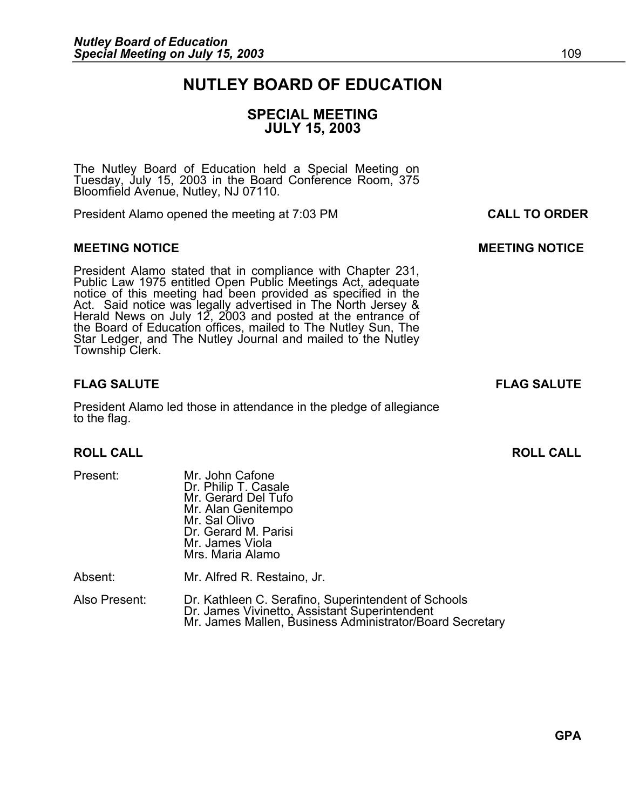### **NUTLEY BOARD OF EDUCATION**

### **SPECIAL MEETING JULY 15, 2003**

The Nutley Board of Education held a Special Meeting on Tuesday, July 15, 2003 in the Board Conference Room, 375 Bloomfield Avenue, Nutley, NJ 07110.

President Alamo opened the meeting at 7:03 PM **CALL TO ORDER**

#### **MEETING NOTICE CONSUMING A REFORE AND LOCAL CONSUMING MOTICE**

President Alamo stated that in compliance with Chapter 231,<br>Public Law 1975 entitled Open Public Meetings Act, adequate<br>notice of this meeting had been provided as specified in the<br>Act. Said notice was legally advertised i Star Ledger, and The Nutley Journal and mailed to the Nutley<br>Township Clerk.

President Alamo led those in attendance in the pledge of allegiance to the flag.

#### **ROLL CALL ROLL CALL**

| Mr. John Cafone<br>Dr. Philip T. Casale<br>Mr. Gerard Del Tufo<br>Mr. Alan Genitempo<br>Mr. Sal Olivo<br>Dr. Gerard M. Parisi<br>Mr. James Viola<br>Mrs. Maria Alamo |
|----------------------------------------------------------------------------------------------------------------------------------------------------------------------|
| Mr. Alfred R. Restaino, Jr.                                                                                                                                          |
|                                                                                                                                                                      |

Also Present: Dr. Kathleen C. Serafino, Superintendent of Schools Mr. James Mallen, Business Administrator/Board Secretary

**FLAG SALUTE FLAG SALUTE**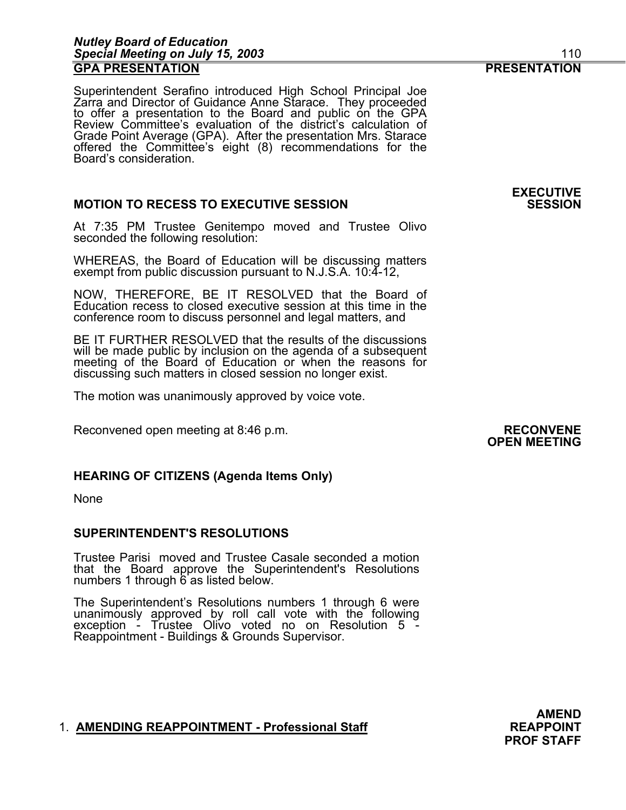#### *Nutley Board of Education Special Meeting on July 15, 2003* 110 **GPA PRESENTATION PRESENTATION**

Superintendent Serafino introduced High School Principal Joe<br>Zarra and Director of Guidance Anne Starace. They proceeded<br>to offer a presentation to the Board and public on the GPA<br>Review Committee's evaluation of the distr offered the Committee's eight (8) recommendations for the Board's consideration.

#### **MOTION TO RECESS TO EXECUTIVE SESSION**

At 7:35 PM Trustee Genitempo moved and Trustee Olivo seconded the following resolution:

WHEREAS, the Board of Education will be discussing matters exempt from public discussion pursuant to N.J.S.A. 10:4-12,

NOW, THEREFORE, BE IT RESOLVED that the Board of Education recess to closed executive session at this time in the conference room to discuss personnel and legal matters, and

BE IT FURTHER RESOLVED that the results of the discussions will be made public by inclusion on the agenda of a subsequent meeting of the Board of Education or when the reasons for discussing such matters in closed session no longer exist.

The motion was unanimously approved by voice vote.

Reconvened open meeting at 8:46 p.m.<br>**OPEN MEETING** 

#### **HEARING OF CITIZENS (Agenda Items Only)**

None

#### **SUPERINTENDENT'S RESOLUTIONS**

Trustee Parisi moved and Trustee Casale seconded a motion that the Board approve the Superintendent's Resolutions numbers 1 through 6 as listed below.

The Superintendent's Resolutions numbers 1 through 6 were<br>unanimously approved by roll call vote with the following<br>exception - Trustee Olivo voted no on Resolution 5 -Reappointment - Buildings & Grounds Supervisor.

#### 1. **AMENDING REAPPOINTMENT - Professional Staff REAPPOINT**

**AMEND PROF STAFF** 

**EXECUTIVE**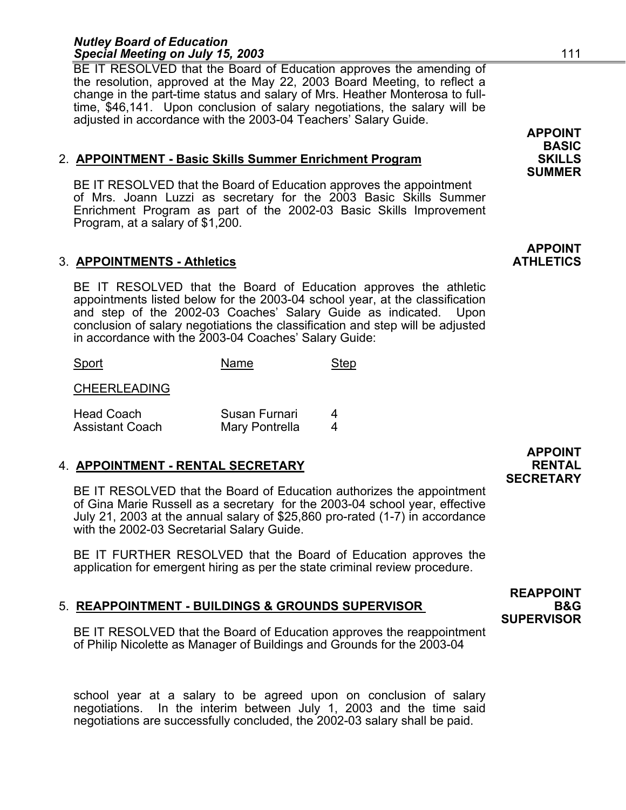#### *Nutley Board of Education*  **Special Meeting on July 15, 2003 111**

BE IT RESOLVED that the Board of Education approves the amending of the resolution, approved at the May 22, 2003 Board Meeting, to reflect a change in the part-time status and salary of Mrs. Heather Monterosa to fulltime, \$46,141. Upon conclusion of salary negotiations, the salary will be adjusted in accordance with the 2003-04 Teachers' Salary Guide.

#### 2. **APPOINTMENT - Basic Skills Summer Enrichment Program SKILLS**

BE IT RESOLVED that the Board of Education approves the appointment of Mrs. Joann Luzzi as secretary for the 2003 Basic Skills Summer Enrichment Program as part of the 2002-03 Basic Skills Improvement Program, at a salary of \$1,200.

#### 3. **APPOINTMENTS - Athletics ATHLETICS**

BE IT RESOLVED that the Board of Education approves the athletic appointments listed below for the 2003-04 school year, at the classification and step of the 2002-03 Coaches' Salary Guide as indicated. Upon conclusion of salary negotiations the classification and step will be adjusted in accordance with the 2003-04 Coaches' Salary Guide:

| Sport                                       | Name                            | Step |
|---------------------------------------------|---------------------------------|------|
| <b>CHEERLEADING</b>                         |                                 |      |
| <b>Head Coach</b><br><b>Assistant Coach</b> | Susan Furnari<br>Mary Pontrella |      |

#### 4. **APPOINTMENT - RENTAL SECRETARY RENTAL**

BE IT RESOLVED that the Board of Education authorizes the appointment of Gina Marie Russell as a secretary for the 2003-04 school year, effective July 21, 2003 at the annual salary of \$25,860 pro-rated (1-7) in accordance with the 2002-03 Secretarial Salary Guide.

BE IT FURTHER RESOLVED that the Board of Education approves the application for emergent hiring as per the state criminal review procedure.

#### 5. **REAPPOINTMENT - BUILDINGS & GROUNDS SUPERVISOR B&G**

BE IT RESOLVED that the Board of Education approves the reappointment of Philip Nicolette as Manager of Buildings and Grounds for the 2003-04

school year at a salary to be agreed upon on conclusion of salary negotiations. In the interim between July 1, 2003 and the time said negotiations are successfully concluded, the 2002-03 salary shall be paid.

### **APPOINT SECRETARY**

**REAPPOINT** 

**SUPERVISOR** 

# **SUMMER**

**APPOINT BASIC** 

## **APPOINT**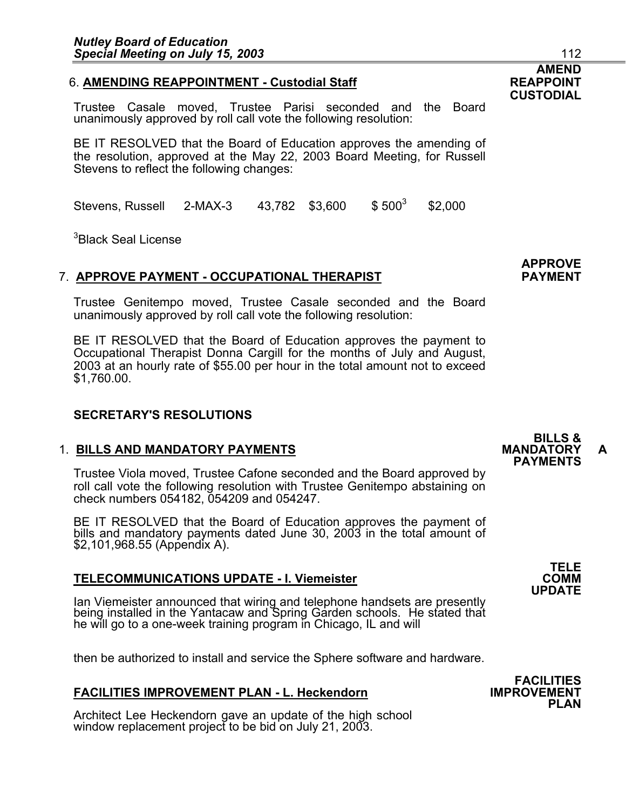#### 6. **AMENDING REAPPOINTMENT - Custodial Staff REAPPOINT**

Trustee Casale moved, Trustee Parisi seconded and the Board unanimously approved by roll call vote the following resolution:

BE IT RESOLVED that the Board of Education approves the amending of the resolution, approved at the May 22, 2003 Board Meeting, for Russell Stevens to reflect the following changes:

Stevens, Russell 2-MAX-3 43,782 \$3,600 \$500<sup>3</sup> \$2,000

<sup>3</sup>Black Seal License

#### 7. **APPROVE PAYMENT - OCCUPATIONAL THERAPIST PAYMENT**

Trustee Genitempo moved, Trustee Casale seconded and the Board unanimously approved by roll call vote the following resolution:

BE IT RESOLVED that the Board of Education approves the payment to Occupational Therapist Donna Cargill for the months of July and August, 2003 at an hourly rate of \$55.00 per hour in the total amount not to exceed \$1,760.00.

#### **SECRETARY'S RESOLUTIONS**

## 1. **BILLS AND MANDATORY PAYMENTS MANDATORY A PAYMENTS**

Trustee Viola moved, Trustee Cafone seconded and the Board approved by roll call vote the following resolution with Trustee Genitempo abstaining on check numbers 054182, 054209 and 054247.

BE IT RESOLVED that the Board of Education approves the payment of bills and mandatory payments dated June 30, 2003 in the total amount of \$2,101,968.55 (Appendix A).

#### **TELECOMMUNICATIONS UPDATE - I. Viemeister**

Ian Viemeister announced that wiring and telephone handsets are presently being installed in the Yantacaw and Spring Garden schools. He stated that he will go to a one-week training program in Chicago, IL and will

then be authorized to install and service the Sphere software and hardware.

#### **FACILITIES IMPROVEMENT PLAN - L. Heckendorn**

Architect Lee Heckendorn gave an update of the high school window replacement project to be bid on July 21, 2003.

## **BILLS &**

### **AMEND CUSTODIAL**



**APPROVE**